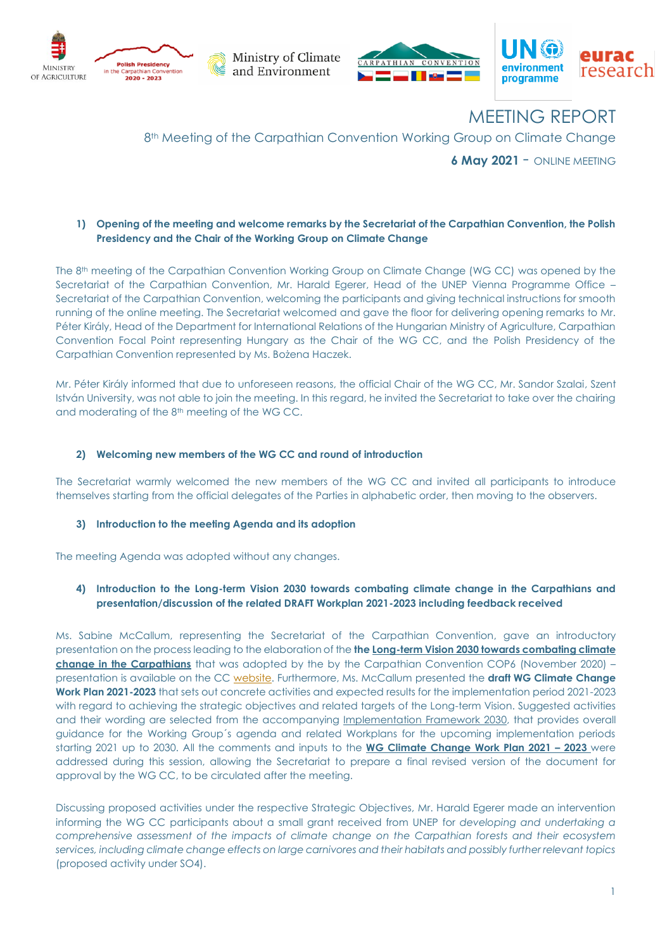

Ministry of Climate and Environment





MEETING REPORT

## 8<sup>th</sup> Meeting of the Carpathian Convention Working Group on Climate Change

**<sup>6</sup> May <sup>2021</sup>** - ONLINE MEETING

#### **1) Opening of the meeting and welcome remarks by the Secretariat of the Carpathian Convention, the Polish Presidency and the Chair of the Working Group on Climate Change**

The 8 th meeting of the Carpathian Convention Working Group on Climate Change (WG CC) was opened by the Secretariat of the Carpathian Convention, Mr. Harald Egerer, Head of the UNEP Vienna Programme Office -Secretariat of the Carpathian Convention, welcoming the participants and giving technical instructions for smooth running of the online meeting. The Secretariat welcomed and gave the floor for delivering opening remarks to Mr. Péter Király, Head of the Department for International Relations of the Hungarian Ministry of Agriculture, Carpathian Convention Focal Point representing Hungary as the Chair of the WG CC, and the Polish Presidency of the Carpathian Convention represented by Ms. Bożena Haczek.

Mr. Péter Király informed that due to unforeseen reasons, the official Chair of the WG CC, Mr. Sandor Szalai, Szent István University, was not able to join the meeting. In this regard, he invited the Secretariat to take over the chairing and moderating of the 8<sup>th</sup> meeting of the WG CC.

#### **2) Welcoming new members of the WG CC and round of introduction**

The Secretariat warmly welcomed the new members of the WG CC and invited all participants to introduce themselves starting from the official delegates of the Parties in alphabetic order, then moving to the observers.

#### **3) Introduction to the meeting Agenda and its adoption**

The meeting Agenda was adopted without any changes.

#### **4) Introduction to the Long-term Vision 2030 towards combating climate change in the Carpathians and presentation/discussion of the related DRAFT Workplan 2021-2023 including feedback received**

Ms. Sabine McCallum, representing the Secretariat of the Carpathian Convention, gave an introductory presentation on the process leading to the elaboration of the **the [Long-term Vision 2030 towards](http://www.carpathianconvention.org/tl_files/carpathiancon/Downloads/03%20Meetings%20and%20Events/COP/2020_COP6_Online/official%20documents/CC%20COP6%20DOC10_Long_Term_Vision_2030_FINAL%20DRAFT.pdf) combating climate [change in the Carpathians](http://www.carpathianconvention.org/tl_files/carpathiancon/Downloads/03%20Meetings%20and%20Events/COP/2020_COP6_Online/official%20documents/CC%20COP6%20DOC10_Long_Term_Vision_2030_FINAL%20DRAFT.pdf)** that was adopted by the by the Carpathian Convention COP6 (November 2020) – presentation is available on the CC [website.](http://www.carpathianconvention.org/tl_files/carpathiancon/Downloads/03%20Meetings%20and%20Events/Working%20Groups/Adaptation%20to%20Climate%20Change/8%20WG%20CLIMATE%20CHANGE/presentations/Carpathian%20Convention%20Introduction%201005.pdf) Furthermore, Ms. McCallum presented the **draft WG Climate Change Work Plan 2021-2023** that sets out concrete activities and expected results for the implementation period 2021-2023 with regard to achieving the strategic objectives and related targets of the Long-term Vision. Suggested activities and their wording are selected from the accompanying [Implementation Framework 2030,](http://www.carpathianconvention.org/tl_files/carpathiancon/Downloads/03%20Meetings%20and%20Events/COP/2020_COP6_Online/official%20documents/CC%20COP6%20DOC11_Implementation_Framework_2030_WG%20CC_FINAL%20DRAFT.pdf) that provides overall guidance for the Working Group´s agenda and related Workplans for the upcoming implementation periods starting 2021 up to 2030. All the comments and inputs to the **WG Climate Change Work Plan 2021 – 2023** were addressed during this session, allowing the Secretariat to prepare a final revised version of the document for approval by the WG CC, to be circulated after the meeting.

Discussing proposed activities under the respective Strategic Objectives, Mr. Harald Egerer made an intervention informing the WG CC participants about a small grant received from UNEP for *developing and undertaking a comprehensive assessment of the impacts of climate change on the Carpathian forests and their ecosystem services, including climate change effects on large carnivores and their habitats and possibly further relevant topics* (proposed activity under SO4).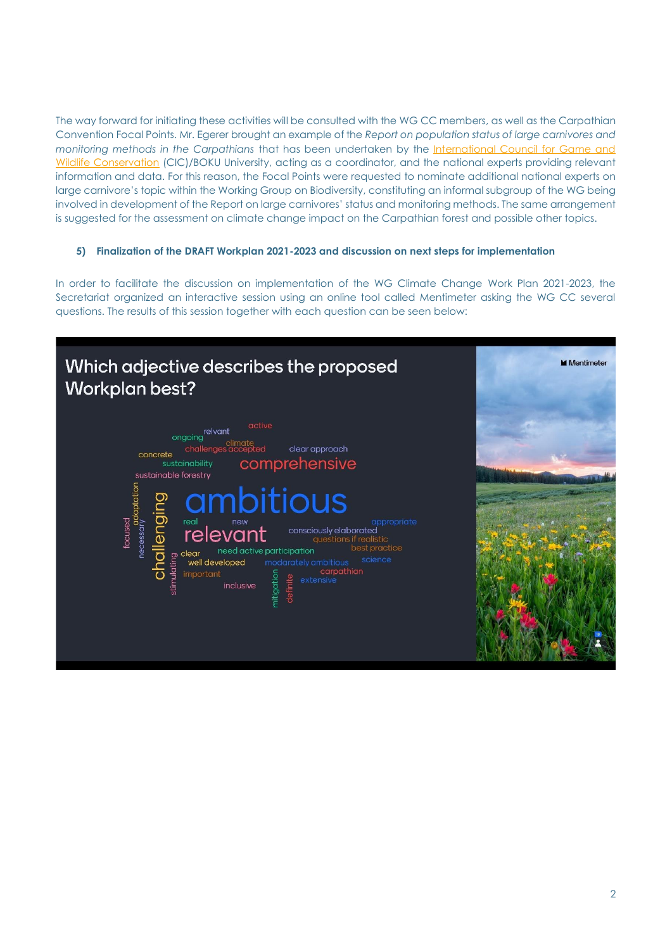The way forward for initiating these activities will be consulted with the WG CC members, as well as the Carpathian Convention Focal Points. Mr. Egerer brought an example of the *Report on population status of large carnivores and monitoring methods in the Carpathians* that has been undertaken by the [International Council for Game and](http://www.cic-wildlife.org/)  [Wildlife Conservation](http://www.cic-wildlife.org/) (CIC)/BOKU University, acting as a coordinator, and the national experts providing relevant information and data. For this reason, the Focal Points were requested to nominate additional national experts on large carnivore's topic within the Working Group on Biodiversity, constituting an informal subgroup of the WG being involved in development of the Report on large carnivores' status and monitoring methods. The same arrangement is suggested for the assessment on climate change impact on the Carpathian forest and possible other topics.

## **5) Finalization of the DRAFT Workplan 2021-2023 and discussion on next steps for implementation**

In order to facilitate the discussion on implementation of the WG Climate Change Work Plan 2021-2023, the Secretariat organized an interactive session using an online tool called Mentimeter asking the WG CC several questions. The results of this session together with each question can be seen below:

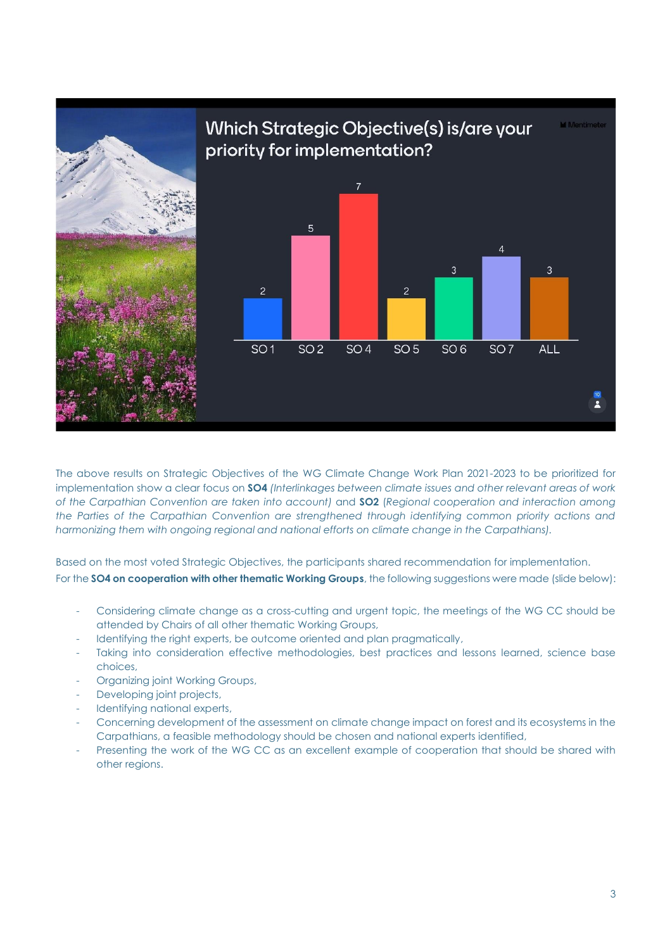

The above results on Strategic Objectives of the WG Climate Change Work Plan 2021-2023 to be prioritized for implementation show a clear focus on **SO4** *(Interlinkages between climate issues and other relevant areas of work of the Carpathian Convention are taken into account)* and **SO2** (*Regional cooperation and interaction among the Parties of the Carpathian Convention are strengthened through identifying common priority actions and harmonizing them with ongoing regional and national efforts on climate change in the Carpathians).* 

Based on the most voted Strategic Objectives, the participants shared recommendation for implementation. For the **SO4 on cooperation with other thematic Working Groups**, the following suggestions were made (slide below):

- Considering climate change as a cross-cutting and urgent topic, the meetings of the WG CC should be attended by Chairs of all other thematic Working Groups,
- Identifying the right experts, be outcome oriented and plan pragmatically,
- Taking into consideration effective methodologies, best practices and lessons learned, science base choices,
- Organizing joint Working Groups,
- Developing joint projects,
- Identifying national experts,
- Concerning development of the assessment on climate change impact on forest and its ecosystems in the Carpathians, a feasible methodology should be chosen and national experts identified,
- Presenting the work of the WG CC as an excellent example of cooperation that should be shared with other regions.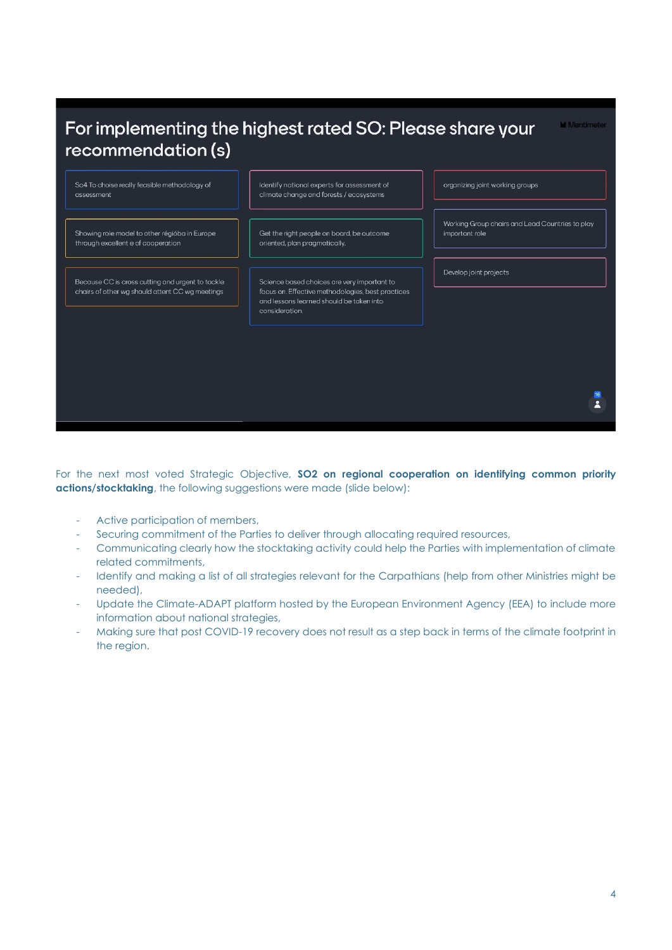## For implementing the highest rated SO: Please share your **M** Mentimete recommendation (s) So4 To choise really feasible methodology of Identify national experts for assessment of organizing joint working groups climate change and forests / ecosystems assessment Working Group chairs and Lead Countries to play Showing role model to other régióba in Europe Get the right people on board, be outcome important role through excellent e of cooperation oriented, plan pragmatically. Develop joint projects Because CC is cross cutting and urgent to tackle Science based choices are very important to chairs of other wg should attent CC wg meetings focus on. Effective methodologies, best practices and lessons learned should be taken into consideration.  $\overline{\mathbf{z}}$

For the next most voted Strategic Objective, **SO2 on regional cooperation on identifying common priority actions/stocktaking**, the following suggestions were made (slide below):

- Active participation of members,
- Securing commitment of the Parties to deliver through allocating required resources,
- Communicating clearly how the stocktaking activity could help the Parties with implementation of climate related commitments,
- Identify and making a list of all strategies relevant for the Carpathians (help from other Ministries might be needed),
- Update the Climate-ADAPT platform hosted by the European Environment Agency (EEA) to include more information about national strategies,
- Making sure that post COVID-19 recovery does not result as a step back in terms of the climate footprint in the region.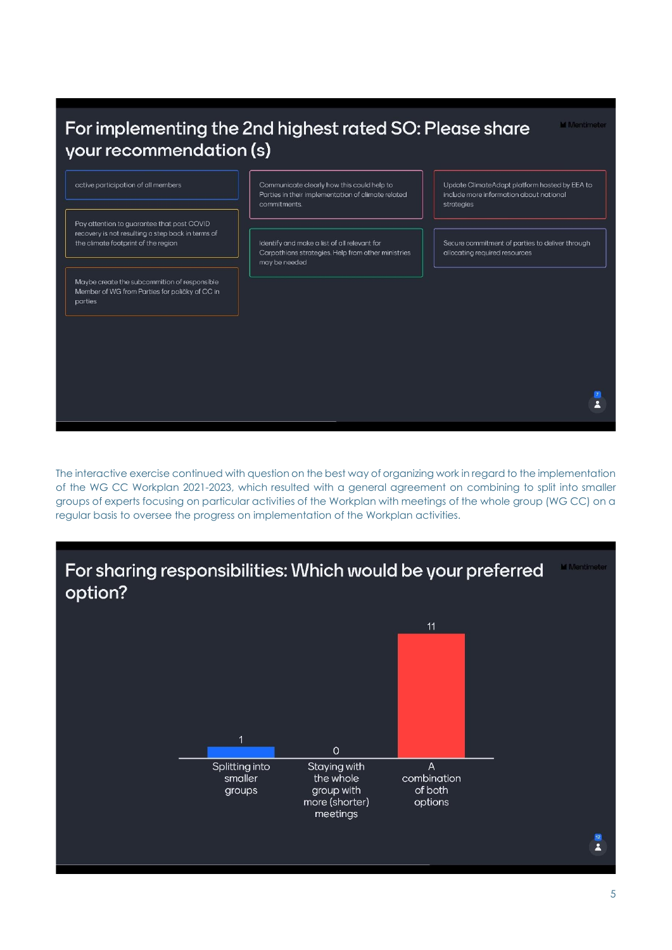# For implementing the 2nd highest rated SO: Please share your recommendation (s)

**M** Mentimete



The interactive exercise continued with question on the best way of organizing work in regard to the implementation of the WG CC Workplan 2021-2023, which resulted with a general agreement on combining to split into smaller groups of experts focusing on particular activities of the Workplan with meetings of the whole group (WG CC) on a regular basis to oversee the progress on implementation of the Workplan activities.

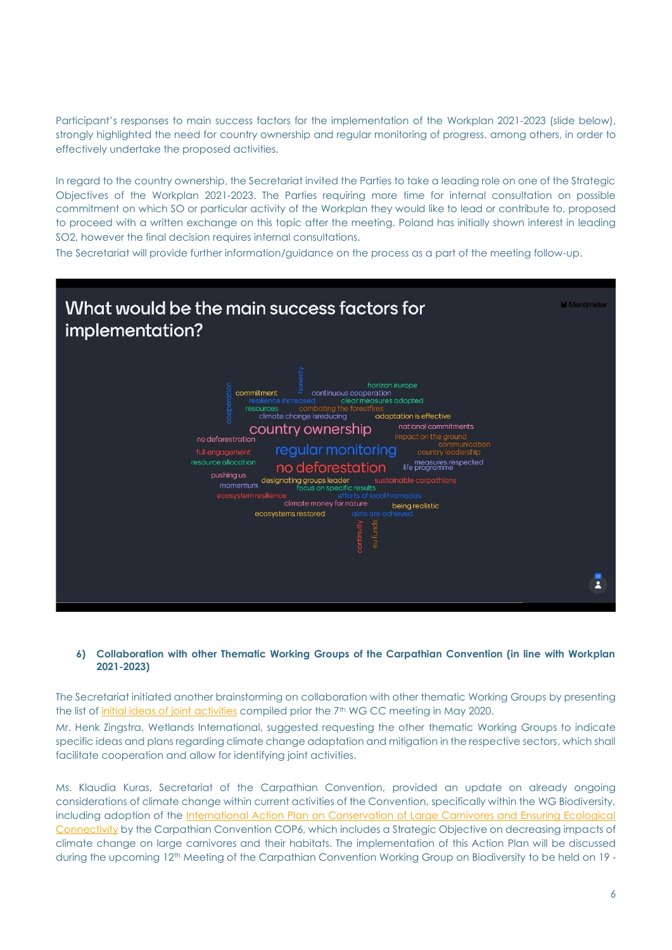Participant's responses to main success factors for the implementation of the Workplan 2021-2023 (slide below), strongly highlighted the need for country ownership and regular monitoring of progress, among others, in order to effectively undertake the proposed activities.

In reaard to the country ownership, the Secretariat invited the Parties to take a leading role on one of the Strategic Objectives of the Workplan 2021-2023. The Parties requiring more time for internal consultation on possible commitment on which SO or particular activity of the Workplan they would like to lead or contribute to, proposed to proceed with a written exchange on this topic after the meeting. Poland has initially shown interest in leading SO2, however the final decision requires internal consultations.

The Secretariat will provide further information/guidance on the process as a part of the meeting follow-up.



#### **6) Collaboration with other Thematic Working Groups of the Carpathian Convention (in line with Workplan 2021-2023)**

The Secretariat initiated another brainstorming on collaboration with other thematic Working Groups by presenting the list of [initial ideas of joint activities](http://www.carpathianconvention.org/tl_files/carpathiancon/Downloads/03%20Meetings%20and%20Events/Working%20Groups/Adaptation%20to%20Climate%20Change/7%20WG%20CLIMATE%20CHANGE/iPreliminary_ideas_for_collaboration_with_other_WGs_Annex%202_26062020.pdf) compiled prior the 7th WG CC meeting in May 2020.

Mr. Henk Zingstra, Wetlands International, suggested requesting the other thematic Working Groups to indicate specific ideas and plans regarding climate change adaptation and mitigation in the respective sectors, which shall facilitate cooperation and allow for identifying joint activities.

Ms. Klaudia Kuras, Secretariat of the Carpathian Convention, provided an update on already ongoing considerations of climate change within current activities of the Convention, specifically within the WG Biodiversity, including adoption of the International Action Plan on Conservation of Large Carnivores and Ensuring Ecological [Connectivity](http://www.carpathianconvention.org/tl_files/carpathiancon/Downloads/02%20Activities/Large%20carnivores/CC%20COP6_DOC9P_Int%20Action%20Plan%20Large%20Carnivores%20and%20Ecological%20Connectivity_ADOPTED.pdf) by the Carpathian Convention COP6, which includes a Strategic Objective on decreasing impacts of climate change on large carnivores and their habitats. The implementation of this Action Plan will be discussed during the upcoming 12th Meeting of the Carpathian Convention Working Group on Biodiversity to be held on 19 -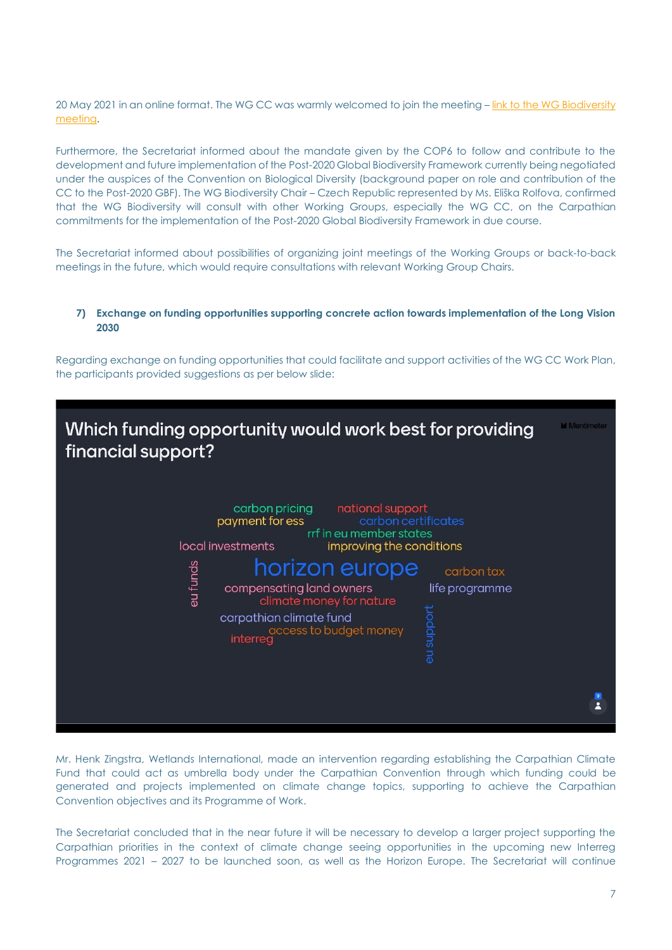20 May 2021 in an online format. The WG CC was warmly welcomed to join the meeting – link to the WG Biodiversity [meeting.](http://www.carpathianconvention.org/eventdetailwg-biodiversity/events/twelfth-meeting-of-the-working-group-on-biodiversity.html)

Furthermore, the Secretariat informed about the mandate given by the COP6 to follow and contribute to the development and future implementation of the Post-2020 Global Biodiversity Framework currently being negotiated under the auspices of the Convention on Biological Diversity (background paper on role and contribution of the CC to the Post-2020 GBF). The WG Biodiversity Chair – Czech Republic represented by Ms. Eliška Rolfova, confirmed that the WG Biodiversity will consult with other Working Groups, especially the WG CC, on the Carpathian commitments for the implementation of the Post-2020 Global Biodiversity Framework in due course.

The Secretariat informed about possibilities of organizing joint meetings of the Working Groups or back-to-back meetings in the future, which would require consultations with relevant Working Group Chairs.

**7) Exchange on funding opportunities supporting concrete action towards implementation of the Long Vision 2030**

Regarding exchange on funding opportunities that could facilitate and support activities of the WG CC Work Plan, the participants provided suggestions as per below slide:

| carbon pricing national support<br>payment for ess<br>carbon certificates<br>rrf in eu member states<br>local investments<br>improving the conditions<br>horizon europe<br>su funds<br>carbon tax<br>compensating land owners<br>life programme<br>climate money for nature<br>au support<br>carpathian climate fund<br>access to budget money<br>interreg | $\theta$<br>$\overline{\mathbf{z}}$ |
|------------------------------------------------------------------------------------------------------------------------------------------------------------------------------------------------------------------------------------------------------------------------------------------------------------------------------------------------------------|-------------------------------------|

Mr. Henk Zingstra, Wetlands International, made an intervention regarding establishing the Carpathian Climate Fund that could act as umbrella body under the Carpathian Convention through which funding could be generated and projects implemented on climate change topics, supporting to achieve the Carpathian Convention objectives and its Programme of Work.

The Secretariat concluded that in the near future it will be necessary to develop a larger project supporting the Carpathian priorities in the context of climate change seeing opportunities in the upcoming new Interreg Programmes 2021 – 2027 to be launched soon, as well as the Horizon Europe. The Secretariat will continue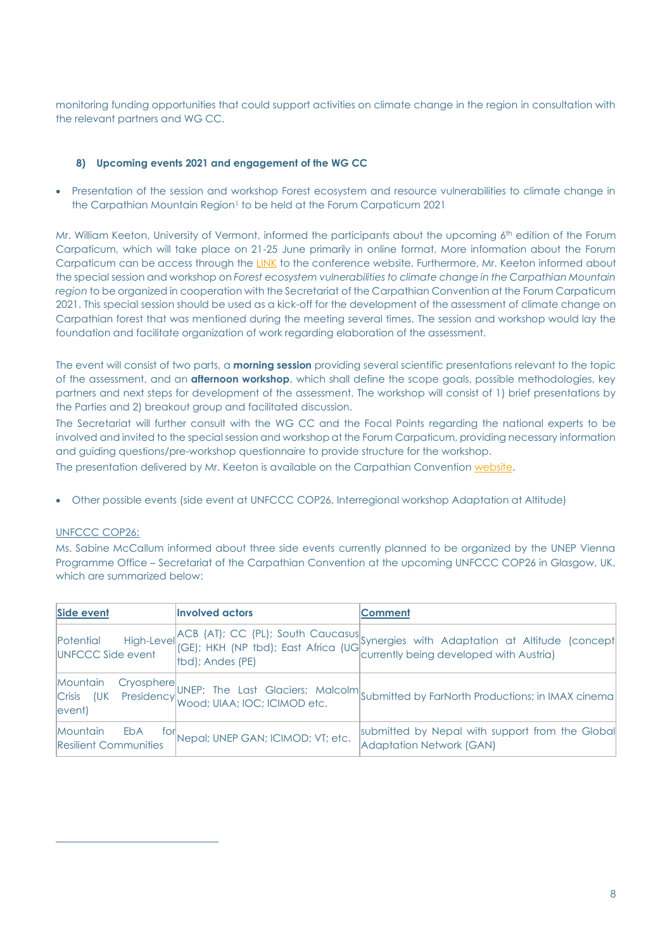monitoring funding opportunities that could support activities on climate change in the region in consultation with the relevant partners and WG CC.

## **8) Upcoming events 2021 and engagement of the WG CC**

• Presentation of the session and workshop Forest ecosystem and resource vulnerabilities to climate change in the Carpathian Mountain Region<sup>1</sup> to be held at the Forum Carpaticum 2021

Mr. William Keeton, University of Vermont, informed the participants about the upcoming 6 th edition of the Forum Carpaticum, which will take place on 21-25 June primarily in online format. More information about the Forum Carpaticum can be access through the [LINK](https://forumcarpaticum.czechglobe.cz/) to the conference website. Furthermore, Mr. Keeton informed about the special session and workshop on *Forest ecosystem vulnerabilities to climate change in the Carpathian Mountain region* to be organized in cooperation with the Secretariat of the Carpathian Convention at the Forum Carpaticum 2021. This special session should be used as a kick-off for the development of the assessment of climate change on Carpathian forest that was mentioned during the meeting several times. The session and workshop would lay the foundation and facilitate organization of work regarding elaboration of the assessment.

The event will consist of two parts, a **morning session** providing several scientific presentations relevant to the topic of the assessment, and an **afternoon workshop**, which shall define the scope goals, possible methodologies, key partners and next steps for development of the assessment. The workshop will consist of 1) brief presentations by the Parties and 2) breakout group and facilitated discussion.

The Secretariat will further consult with the WG CC and the Focal Points regarding the national experts to be involved and invited to the special session and workshop at the Forum Carpaticum, providing necessary information and guiding questions/pre-workshop questionnaire to provide structure for the workshop.

The presentation delivered by Mr. Keeton is available on the Carpathian Convention [website.](http://www.carpathianconvention.org/tl_files/carpathiancon/Downloads/03%20Meetings%20and%20Events/Working%20Groups/Adaptation%20to%20Climate%20Change/8%20WG%20CLIMATE%20CHANGE/presentations/KeetonClimate%20vulnerability%20assessment%20workshop.pdf)

• Other possible events (side event at UNFCCC COP26, Interregional workshop Adaptation at Altitude)

## UNFCCC COP26:

Ms. Sabine McCallum informed about three side events currently planned to be organized by the UNEP Vienna Programme Office – Secretariat of the Carpathian Convention at the upcoming UNFCCC COP26 in Glasgow, UK, which are summarized below:

| Side event                                      | <b>Involved actors</b>                | <b>Comment</b>                                                                                                                                            |
|-------------------------------------------------|---------------------------------------|-----------------------------------------------------------------------------------------------------------------------------------------------------------|
| Potential<br>UNFCCC Side event                  | tbd); Andes (PE)                      | High-Level ACB (AT); CC (PL); South Caucasus<br>High-Level (GE); HKH (NP tbd); East Africa (UG)<br>currently being developed with Austria)                |
|                                                 |                                       | Mountain Cryosphere UNEP; The Last Glaciers; Malcolm Submitted by FarNorth Productions; in IMAX cinema Crisis (UK Presidency Wood; UIAA; IOC; ICIMOD etc. |
| Mountain<br>EbA<br><b>Resilient Communities</b> | for Nepal; UNEP GAN; ICIMOD; VT; etc. | submitted by Nepal with support from the Global<br><b>Adaptation Network (GAN)</b>                                                                        |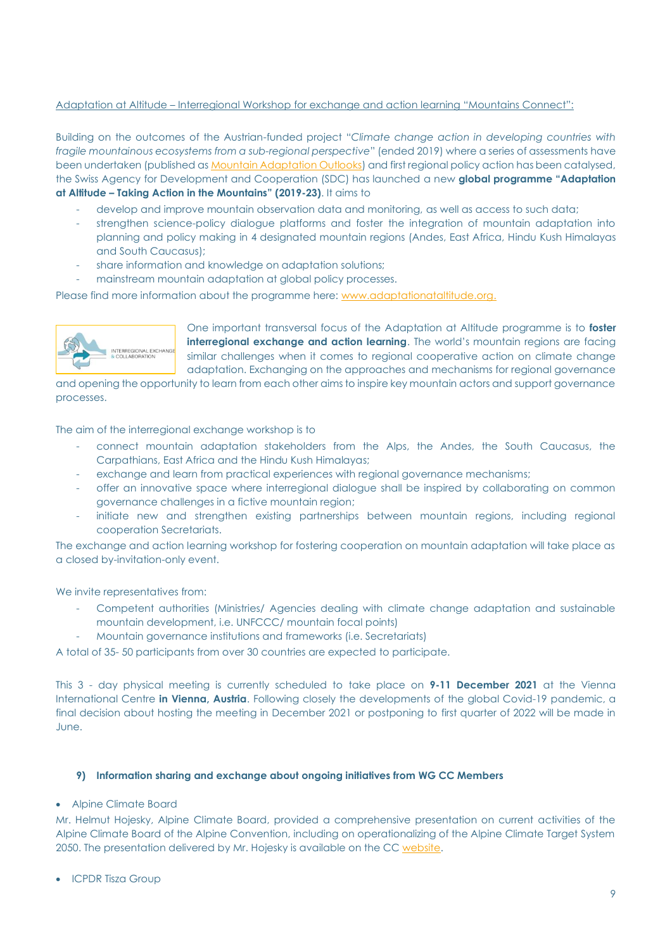## Adaptation at Altitude – Interregional Workshop for exchange and action learning "Mountains Connect":

Building on the outcomes of the Austrian-funded project "*Climate change action in developing countries with fragile mountainous ecosystems from a sub-regional perspective*" (ended 2019) where a series of assessments have been undertaken (published a[s Mountain Adaptation Outlooks\)](https://www.grida.no/activities/25) and first regional policy action has been catalysed, the Swiss Agency for Development and Cooperation (SDC) has launched a new **global programme "Adaptation at Altitude – Taking Action in the Mountains" (2019-23)**. It aims to

- develop and improve mountain observation data and monitoring, as well as access to such data;
- strengthen science-policy dialogue platforms and foster the integration of mountain adaptation into planning and policy making in 4 designated mountain regions (Andes, East Africa, Hindu Kush Himalayas and South Caucasus);
- share information and knowledge on adaptation solutions;
- mainstream mountain adaptation at global policy processes.

Please find more information about the programme here: [www.adaptationataltitude.org.](http://www.adaptationataltitude.org/)



One important transversal focus of the Adaptation at Altitude programme is to **foster interregional exchange and action learning**. The world's mountain regions are facing similar challenges when it comes to regional cooperative action on climate change adaptation. Exchanging on the approaches and mechanisms for regional governance

and opening the opportunity to learn from each other aims to inspire key mountain actors and support governance processes.

The aim of the interregional exchange workshop is to

- connect mountain adaptation stakeholders from the Alps, the Andes, the South Caucasus, the Carpathians, East Africa and the Hindu Kush Himalayas;
- exchange and learn from practical experiences with regional governance mechanisms;
- offer an innovative space where interregional dialogue shall be inspired by collaborating on common governance challenges in a fictive mountain region;
- initiate new and strengthen existing partnerships between mountain regions, including regional cooperation Secretariats.

The exchange and action learning workshop for fostering cooperation on mountain adaptation will take place as a closed by-invitation-only event.

We invite representatives from:

- Competent authorities (Ministries/ Agencies dealing with climate change adaptation and sustainable mountain development, i.e. UNFCCC/ mountain focal points)
- Mountain governance institutions and frameworks (i.e. Secretariats)

A total of 35- 50 participants from over 30 countries are expected to participate.

This 3 - day physical meeting is currently scheduled to take place on **9-11 December 2021** at the Vienna International Centre **in Vienna, Austria**. Following closely the developments of the global Covid-19 pandemic, a final decision about hosting the meeting in December 2021 or postponing to first quarter of 2022 will be made in June.

#### **9) Information sharing and exchange about ongoing initiatives from WG CC Members**

#### • Alpine Climate Board

Mr. Helmut Hojesky, Alpine Climate Board, provided a comprehensive presentation on current activities of the Alpine Climate Board of the Alpine Convention, including on operationalizing of the Alpine Climate Target System 2050. The presentation delivered by Mr. Hojesky is available on the CC [website.](http://www.carpathianconvention.org/tl_files/carpathiancon/Downloads/03%20Meetings%20and%20Events/Working%20Groups/Adaptation%20to%20Climate%20Change/8%20WG%20CLIMATE%20CHANGE/presentations/Alpine%20Climate%20Board%20presentation1005.pdf) 

• ICPDR Tisza Group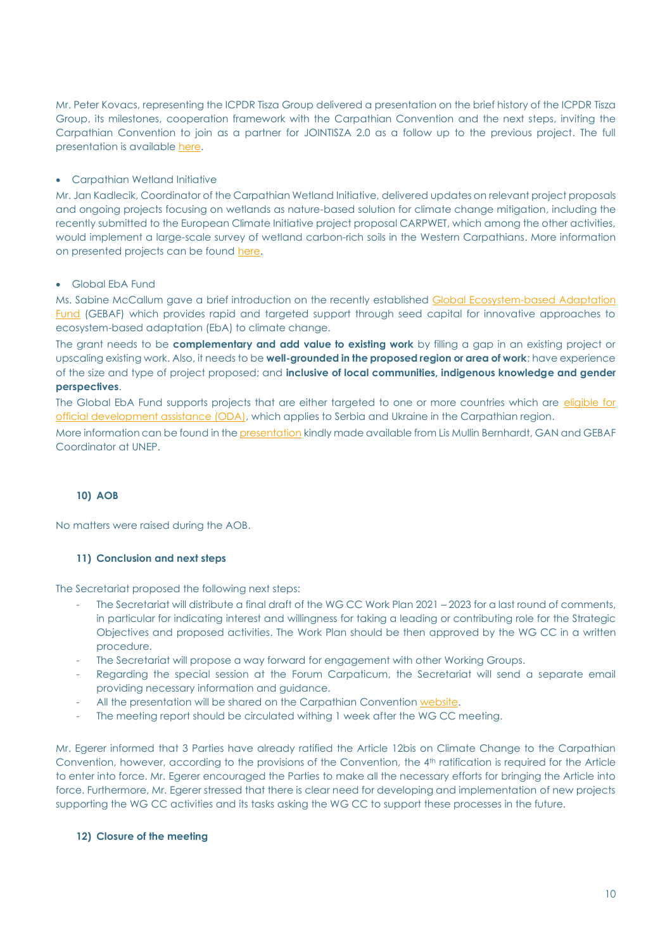Mr. Peter Kovacs, representing the ICPDR Tisza Group delivered a presentation on the brief history of the ICPDR Tisza Group, its milestones, cooperation framework with the Carpathian Convention and the next steps, inviting the Carpathian Convention to join as a partner for JOINTISZA 2.0 as a follow up to the previous project. The full presentation is available [here.](http://www.carpathianconvention.org/tl_files/carpathiancon/Downloads/03%20Meetings%20and%20Events/Working%20Groups/Adaptation%20to%20Climate%20Change/8%20WG%20CLIMATE%20CHANGE/presentations/Tisza%20Group%201005.pdf)

#### • Carpathian Wetland Initiative

Mr. Jan Kadlecik, Coordinator of the Carpathian Wetland Initiative, delivered updates on relevant project proposals and ongoing projects focusing on wetlands as nature-based solution for climate change mitigation, including the recently submitted to the European Climate Initiative project proposal CARPWET, which among the other activities, would implement a large-scale survey of wetland carbon-rich soils in the Western Carpathians. More information on presented projects can be foun[d here.](http://www.carpathianconvention.org/tl_files/carpathiancon/Downloads/03%20Meetings%20and%20Events/Working%20Groups/Adaptation%20to%20Climate%20Change/8%20WG%20CLIMATE%20CHANGE/presentations/Wetlands%20CCWG%201005.pdf)

#### • Global EbA Fund

Ms. Sabine McCallum gave a brief introduction on the recently established Global Ecosystem-based Adaptation [Fund](https://globalebafund.org/) (GEBAF) which provides rapid and targeted support through seed capital for innovative approaches to ecosystem-based adaptation (EbA) to climate change.

The grant needs to be **complementary and add value to existing work** by filling a gap in an existing project or upscaling existing work. Also, it needs to be **well-grounded in the proposed region or area of work**; have experience of the size and type of project proposed; and **inclusive of local communities, indigenous knowledge and gender perspectives**.

The Global EbA Fund supports projects that are either targeted to one or more countries which are eligible for [official development assistance \(ODA\),](http://www.oecd.org/dac/financing-sustainable-development/development-finance-standards/daclist.htm) which applies to Serbia and Ukraine in the Carpathian region.

More information can be found in th[e presentation](http://www.carpathianconvention.org/tl_files/carpathiancon/Downloads/03%20Meetings%20and%20Events/Working%20Groups/Adaptation%20to%20Climate%20Change/8%20WG%20CLIMATE%20CHANGE/presentations/Global%20Adaptation%20Network%20EbA%20Fund%20Updated%20Overview%201005.pdf) kindly made available from Lis Mullin Bernhardt, GAN and GEBAF Coordinator at UNEP.

## **10) AOB**

No matters were raised during the AOB.

#### **11) Conclusion and next steps**

The Secretariat proposed the following next steps:

- The Secretariat will distribute a final draft of the WG CC Work Plan 2021 2023 for a last round of comments, in particular for indicating interest and willingness for taking a leading or contributing role for the Strategic Objectives and proposed activities. The Work Plan should be then approved by the WG CC in a written procedure.
- The Secretariat will propose a way forward for engagement with other Working Groups.
- Regarding the special session at the Forum Carpaticum, the Secretariat will send a separate email providing necessary information and guidance.
- All the presentation will be shared on the Carpathian Convention [website.](http://www.carpathianconvention.org/eventdetailwg-124/events/eight-meeting-of-the-working-group-on-climate-change.html)
- The meeting report should be circulated withing 1 week after the WG CC meeting.

Mr. Egerer informed that 3 Parties have already ratified the Article 12bis on Climate Change to the Carpathian Convention, however, according to the provisions of the Convention, the 4<sup>th</sup> ratification is required for the Article to enter into force. Mr. Egerer encouraged the Parties to make all the necessary efforts for bringing the Article into force. Furthermore, Mr. Egerer stressed that there is clear need for developing and implementation of new projects supporting the WG CC activities and its tasks asking the WG CC to support these processes in the future.

#### **12) Closure of the meeting**